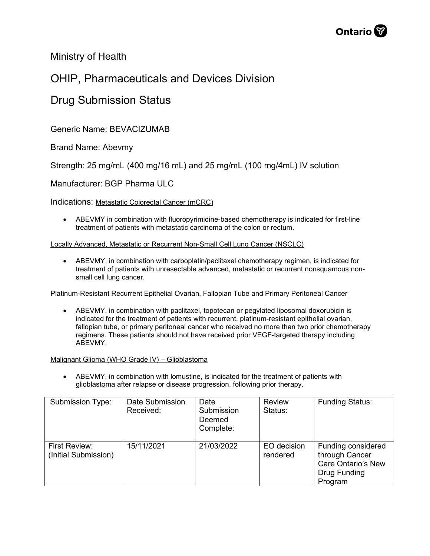

Ministry of Health

## OHIP, Pharmaceuticals and Devices Division

### Drug Submission Status

Generic Name: BEVACIZUMAB

Brand Name: Abevmy

Strength: 25 mg/mL (400 mg/16 mL) and 25 mg/mL (100 mg/4mL) IV solution

Manufacturer: BGP Pharma ULC

Indications: Metastatic Colorectal Cancer (mCRC)

• ABEVMY in combination with fluoropyrimidine-based chemotherapy is indicated for first-line treatment of patients with metastatic carcinoma of the colon or rectum.

#### Locally Advanced, Metastatic or Recurrent Non-Small Cell Lung Cancer (NSCLC)

• ABEVMY, in combination with carboplatin/paclitaxel chemotherapy regimen, is indicated for treatment of patients with unresectable advanced, metastatic or recurrent nonsquamous nonsmall cell lung cancer.

Platinum-Resistant Recurrent Epithelial Ovarian, Fallopian Tube and Primary Peritoneal Cancer

• ABEVMY, in combination with paclitaxel, topotecan or pegylated liposomal doxorubicin is indicated for the treatment of patients with recurrent, platinum-resistant epithelial ovarian, fallopian tube, or primary peritoneal cancer who received no more than two prior chemotherapy regimens. These patients should not have received prior VEGF-targeted therapy including ABEVMY.

#### Malignant Glioma (WHO Grade IV) – Glioblastoma

• ABEVMY, in combination with lomustine, is indicated for the treatment of patients with glioblastoma after relapse or disease progression, following prior therapy.

| Submission Type:                      | Date Submission<br>Received: | Date<br>Submission<br>Deemed<br>Complete: | <b>Review</b><br>Status: | <b>Funding Status:</b>                                                                       |
|---------------------------------------|------------------------------|-------------------------------------------|--------------------------|----------------------------------------------------------------------------------------------|
| First Review:<br>(Initial Submission) | 15/11/2021                   | 21/03/2022                                | EO decision<br>rendered  | Funding considered<br>through Cancer<br><b>Care Ontario's New</b><br>Drug Funding<br>Program |